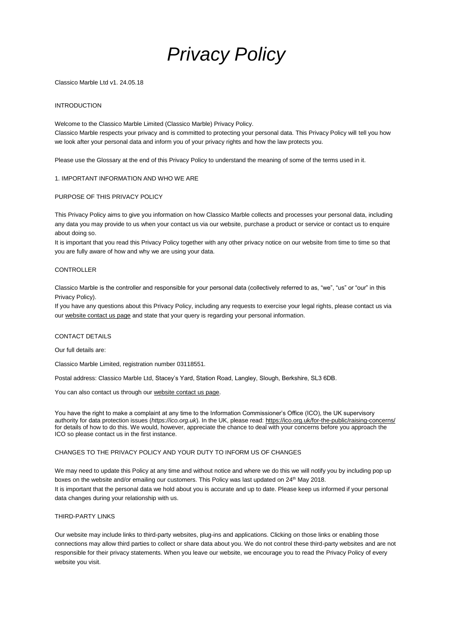

Classico Marble Ltd v1. 24.05.18

## INTRODUCTION

Welcome to the Classico Marble Limited (Classico Marble) Privacy Policy. Classico Marble respects your privacy and is committed to protecting your personal data. This Privacy Policy will tell you how we look after your personal data and inform you of your privacy rights and how the law protects you.

Please use the Glossary at the end of this Privacy Policy to understand the meaning of some of the terms used in it.

### 1. IMPORTANT INFORMATION AND WHO WE ARE

### PURPOSE OF THIS PRIVACY POLICY

This Privacy Policy aims to give you information on how Classico Marble collects and processes your personal data, including any data you may provide to us when your contact us via our website, purchase a product or service or contact us to enquire about doing so.

It is important that you read this Privacy Policy together with any other privacy notice on our website from time to time so that you are fully aware of how and why we are using your data.

### CONTROLLER

Classico Marble is the controller and responsible for your personal data (collectively referred to as, "we", "us" or "our" in this Privacy Policy).

If you have any questions about this Privacy Policy, including any requests to exercise your legal rights, please contact us via our [website contact us page](http://www.classicomarble.co.uk/contact-us/) and state that your query is regarding your personal information.

#### CONTACT DETAILS

Our full details are:

Classico Marble Limited, registration number 03118551.

Postal address: Classico Marble Ltd, Stacey's Yard, Station Road, Langley, Slough, Berkshire, SL3 6DB.

You can also contact us through our [website contact us page.](http://www.classicomarble.co.uk/contact-us/)

You have the right to make a complaint at any time to the Information Commissioner's Office (ICO), the UK supervisory authority for data protection issues (*[https://ico.org.uk](https://ico.org.uk/)*). In the UK, please read:<https://ico.org.uk/for-the-public/raising-concerns/> for details of how to do this. We would, however, appreciate the chance to deal with your concerns before you approach the ICO so please contact us in the first instance.

# CHANGES TO THE PRIVACY POLICY AND YOUR DUTY TO INFORM US OF CHANGES

We may need to update this Policy at any time and without notice and where we do this we will notify you by including pop up boxes on the website and/or emailing our customers. This Policy was last updated on 24<sup>th</sup> May 2018. It is important that the personal data we hold about you is accurate and up to date. Please keep us informed if your personal data changes during your relationship with us.

#### THIRD-PARTY LINKS

Our website may include links to third-party websites, plug-ins and applications. Clicking on those links or enabling those connections may allow third parties to collect or share data about you. We do not control these third-party websites and are not responsible for their privacy statements. When you leave our website, we encourage you to read the Privacy Policy of every website you visit.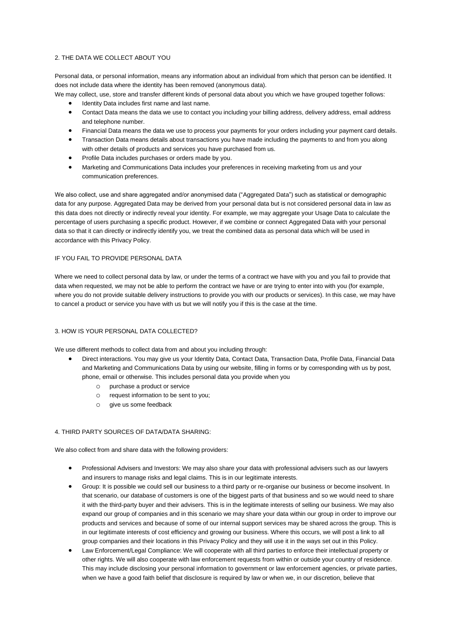## 2. THE DATA WE COLLECT ABOUT YOU

Personal data, or personal information, means any information about an individual from which that person can be identified. It does not include data where the identity has been removed (anonymous data).

We may collect, use, store and transfer different kinds of personal data about you which we have grouped together follows:

- Identity Data includes first name and last name.
- Contact Data means the data we use to contact you including your billing address, delivery address, email address and telephone number.
- Financial Data means the data we use to process your payments for your orders including your payment card details.
- Transaction Data means details about transactions you have made including the payments to and from you along with other details of products and services you have purchased from us.
- Profile Data includes purchases or orders made by you.
- Marketing and Communications Data includes your preferences in receiving marketing from us and your communication preferences.

We also collect, use and share aggregated and/or anonymised data ("Aggregated Data") such as statistical or demographic data for any purpose. Aggregated Data may be derived from your personal data but is not considered personal data in law as this data does not directly or indirectly reveal your identity. For example, we may aggregate your Usage Data to calculate the percentage of users purchasing a specific product. However, if we combine or connect Aggregated Data with your personal data so that it can directly or indirectly identify you, we treat the combined data as personal data which will be used in accordance with this Privacy Policy.

### IF YOU FAIL TO PROVIDE PERSONAL DATA

Where we need to collect personal data by law, or under the terms of a contract we have with you and you fail to provide that data when requested, we may not be able to perform the contract we have or are trying to enter into with you (for example, where you do not provide suitable delivery instructions to provide you with our products or services). In this case, we may have to cancel a product or service you have with us but we will notify you if this is the case at the time.

#### 3. HOW IS YOUR PERSONAL DATA COLLECTED?

We use different methods to collect data from and about you including through:

- Direct interactions. You may give us your Identity Data, Contact Data, Transaction Data, Profile Data, Financial Data and Marketing and Communications Data by using our website, filling in forms or by corresponding with us by post, phone, email or otherwise. This includes personal data you provide when you
	- o purchase a product or service
	- o request information to be sent to you;
	- $\circ$  give us some feedback

#### 4. THIRD PARTY SOURCES OF DATA/DATA SHARING:

We also collect from and share data with the following providers:

- Professional Advisers and Investors: We may also share your data with professional advisers such as our lawyers and insurers to manage risks and legal claims. This is in our legitimate interests.
- Group: It is possible we could sell our business to a third party or re-organise our business or become insolvent. In that scenario, our database of customers is one of the biggest parts of that business and so we would need to share it with the third-party buyer and their advisers. This is in the legitimate interests of selling our business. We may also expand our group of companies and in this scenario we may share your data within our group in order to improve our products and services and because of some of our internal support services may be shared across the group. This is in our legitimate interests of cost efficiency and growing our business. Where this occurs, we will post a link to all group companies and their locations in this Privacy Policy and they will use it in the ways set out in this Policy.
- Law Enforcement/Legal Compliance: We will cooperate with all third parties to enforce their intellectual property or other rights. We will also cooperate with law enforcement requests from within or outside your country of residence. This may include disclosing your personal information to government or law enforcement agencies, or private parties, when we have a good faith belief that disclosure is required by law or when we, in our discretion, believe that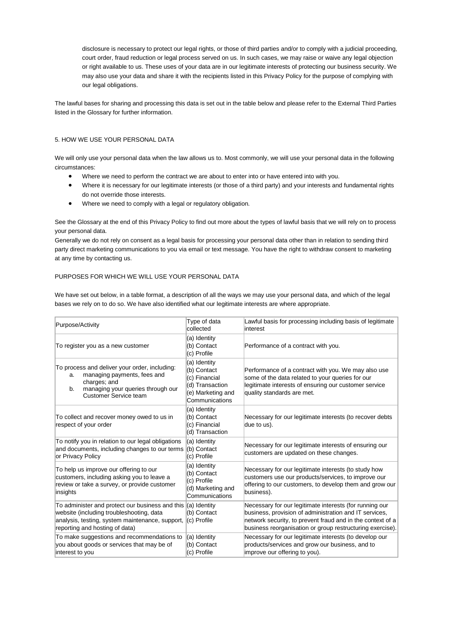disclosure is necessary to protect our legal rights, or those of third parties and/or to comply with a judicial proceeding, court order, fraud reduction or legal process served on us. In such cases, we may raise or waive any legal objection or right available to us. These uses of your data are in our legitimate interests of protecting our business security. We may also use your data and share it with the recipients listed in this Privacy Policy for the purpose of complying with our legal obligations.

The lawful bases for sharing and processing this data is set out in the table below and please refer to the External Third Parties listed in the Glossary for further information.

# 5. HOW WE USE YOUR PERSONAL DATA

We will only use your personal data when the law allows us to. Most commonly, we will use your personal data in the following circumstances:

- Where we need to perform the contract we are about to enter into or have entered into with you.
- Where it is necessary for our legitimate interests (or those of a third party) and your interests and fundamental rights do not override those interests.
- Where we need to comply with a legal or regulatory obligation.

See the Glossary at the end of this Privacy Policy to find out more about the types of lawful basis that we will rely on to process your personal data.

Generally we do not rely on consent as a legal basis for processing your personal data other than in relation to sending third party direct marketing communications to you via email or text message. You have the right to withdraw consent to marketing at any time by contacting us.

## PURPOSES FOR WHICH WE WILL USE YOUR PERSONAL DATA

We have set out below, in a table format, a description of all the ways we may use your personal data, and which of the legal bases we rely on to do so. We have also identified what our legitimate interests are where appropriate.

| Purpose/Activity                                                                                                                                                                 | Type of data<br>collected                                                                              | Lawful basis for processing including basis of legitimate<br>interest                                                                                                                                                                        |
|----------------------------------------------------------------------------------------------------------------------------------------------------------------------------------|--------------------------------------------------------------------------------------------------------|----------------------------------------------------------------------------------------------------------------------------------------------------------------------------------------------------------------------------------------------|
| To register you as a new customer                                                                                                                                                | (a) Identity<br>(b) Contact<br>(c) Profile                                                             | Performance of a contract with you.                                                                                                                                                                                                          |
| To process and deliver your order, including:<br>managing payments, fees and<br>a.<br>charges; and<br>managing your queries through our<br>b.<br>Customer Service team           | (a) Identity<br>(b) Contact<br>(c) Financial<br>(d) Transaction<br>(e) Marketing and<br>Communications | Performance of a contract with you. We may also use<br>some of the data related to your queries for our<br>legitimate interests of ensuring our customer service<br>quality standards are met.                                               |
| To collect and recover money owed to us in<br>respect of your order                                                                                                              | (a) Identity<br>(b) Contact<br>(c) Financial<br>(d) Transaction                                        | Necessary for our legitimate interests (to recover debts<br>due to us).                                                                                                                                                                      |
| To notify you in relation to our legal obligations<br>and documents, including changes to our terms<br>or Privacy Policy                                                         | (a) Identity<br>(b) Contact<br>(c) Profile                                                             | Necessary for our legitimate interests of ensuring our<br>customers are updated on these changes.                                                                                                                                            |
| To help us improve our offering to our<br>customers, including asking you to leave a<br>review or take a survey, or provide customer<br>insights                                 | (a) Identity<br>(b) Contact<br>(c) Profile<br>(d) Marketing and<br>Communications                      | Necessary for our legitimate interests (to study how<br>customers use our products/services, to improve our<br>offering to our customers, to develop them and grow our<br>business).                                                         |
| To administer and protect our business and this<br>website (including troubleshooting, data<br>analysis, testing, system maintenance, support,<br>reporting and hosting of data) | $(a)$ Identity<br>(b) Contact<br>$(c)$ Profile                                                         | Necessary for our legitimate interests (for running our<br>business, provision of administration and IT services,<br>network security, to prevent fraud and in the context of a<br>business reorganisation or group restructuring exercise). |
| To make suggestions and recommendations to<br>you about goods or services that may be of<br>interest to you                                                                      | (a) Identity<br>(b) Contact<br>(c) Profile                                                             | Necessary for our legitimate interests (to develop our<br>products/services and grow our business, and to<br>improve our offering to you).                                                                                                   |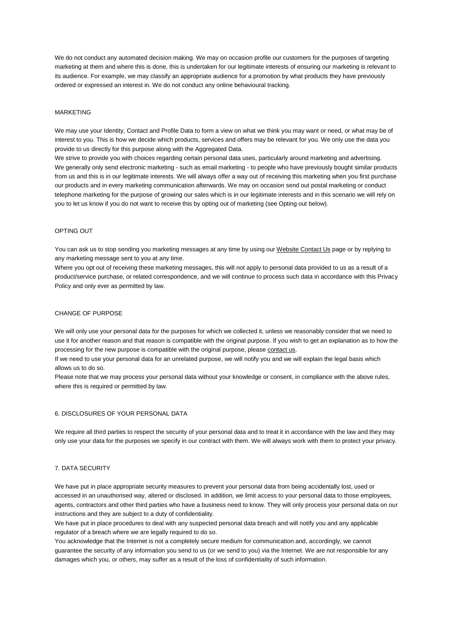We do not conduct any automated decision making. We may on occasion profile our customers for the purposes of targeting marketing at them and where this is done, this is undertaken for our legitimate interests of ensuring our marketing is relevant to its audience. For example, we may classify an appropriate audience for a promotion by what products they have previously ordered or expressed an interest in. We do not conduct any online behavioural tracking.

#### MARKETING

We may use your Identity, Contact and Profile Data to form a view on what we think you may want or need, or what may be of interest to you. This is how we decide which products, services and offers may be relevant for you. We only use the data you provide to us directly for this purpose along with the Aggregated Data.

We strive to provide you with choices regarding certain personal data uses, particularly around marketing and advertising. We generally only send electronic marketing - such as email marketing - to people who have previously bought similar products from us and this is in our legitimate interests. We will always offer a way out of receiving this marketing when you first purchase our products and in every marketing communication afterwards. We may on occasion send out postal marketing or conduct telephone marketing for the purpose of growing our sales which is in our legitimate interests and in this scenario we will rely on you to let us know if you do not want to receive this by opting out of marketing (see Opting out below).

### OPTING OUT

You can ask us to stop sending you marketing messages at any time by using ou[r Website Contact Us](http://www.classicomarble.co.uk/contact-us/) page or by replying to any marketing message sent to you at any time.

Where you opt out of receiving these marketing messages, this will not apply to personal data provided to us as a result of a product/service purchase, or related correspondence, and we will continue to process such data in accordance with this Privacy Policy and only ever as permitted by law.

### CHANGE OF PURPOSE

We will only use your personal data for the purposes for which we collected it, unless we reasonably consider that we need to use it for another reason and that reason is compatible with the original purpose. If you wish to get an explanation as to how the processing for the new purpose is compatible with the original purpose, please [contact us.](http://www.classicomarble.co.uk/contact-us/)

If we need to use your personal data for an unrelated purpose, we will notify you and we will explain the legal basis which allows us to do so.

Please note that we may process your personal data without your knowledge or consent, in compliance with the above rules, where this is required or permitted by law.

# 6. DISCLOSURES OF YOUR PERSONAL DATA

We require all third parties to respect the security of your personal data and to treat it in accordance with the law and they may only use your data for the purposes we specify in our contract with them. We will always work with them to protect your privacy.

#### 7. DATA SECURITY

We have put in place appropriate security measures to prevent your personal data from being accidentally lost, used or accessed in an unauthorised way, altered or disclosed. In addition, we limit access to your personal data to those employees, agents, contractors and other third parties who have a business need to know. They will only process your personal data on our instructions and they are subject to a duty of confidentiality.

We have put in place procedures to deal with any suspected personal data breach and will notify you and any applicable regulator of a breach where we are legally required to do so.

You acknowledge that the Internet is not a completely secure medium for communication and, accordingly, we cannot guarantee the security of any information you send to us (or we send to you) via the Internet. We are not responsible for any damages which you, or others, may suffer as a result of the loss of confidentiality of such information.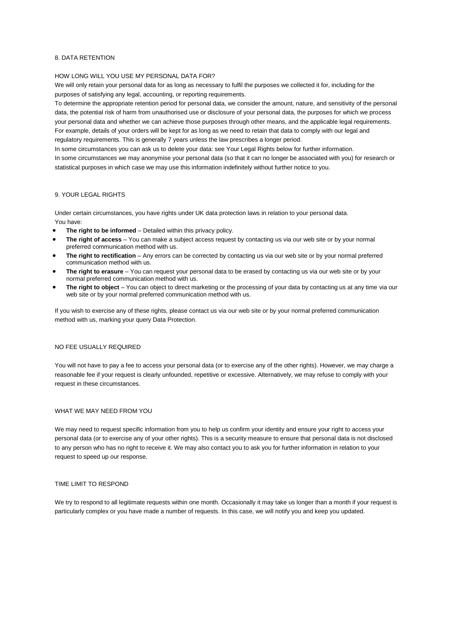## 8. DATA RETENTION

### HOW LONG WILL YOU USE MY PERSONAL DATA FOR?

We will only retain your personal data for as long as necessary to fulfil the purposes we collected it for, including for the purposes of satisfying any legal, accounting, or reporting requirements.

To determine the appropriate retention period for personal data, we consider the amount, nature, and sensitivity of the personal data, the potential risk of harm from unauthorised use or disclosure of your personal data, the purposes for which we process your personal data and whether we can achieve those purposes through other means, and the applicable legal requirements. For example, details of your orders will be kept for as long as we need to retain that data to comply with our legal and regulatory requirements. This is generally 7 years unless the law prescribes a longer period.

In some circumstances you can ask us to delete your data: see Your Legal Rights below for further information.

In some circumstances we may anonymise your personal data (so that it can no longer be associated with you) for research or statistical purposes in which case we may use this information indefinitely without further notice to you.

### 9. YOUR LEGAL RIGHTS

Under certain circumstances, you have rights under UK data protection laws in relation to your personal data. You have:

- **The right to be informed** Detailed within this privacy policy.
- **The right of access** You can make a subject access request by contacting us via our web site or by your normal preferred communication method with us.
- **The right to rectification** Any errors can be corrected by contacting us via our web site or by your normal preferred communication method with us.
- **The right to erasure** You can request your personal data to be erased by contacting us via our web site or by your normal preferred communication method with us.
- **The right to object** You can object to direct marketing or the processing of your data by contacting us at any time via our web site or by your normal preferred communication method with us.

If you wish to exercise any of these rights, please contact us via our web site or by your normal preferred communication method with us, marking your query Data Protection.

#### NO FEE USUALLY REQUIRED

You will not have to pay a fee to access your personal data (or to exercise any of the other rights). However, we may charge a reasonable fee if your request is clearly unfounded, repetitive or excessive. Alternatively, we may refuse to comply with your request in these circumstances.

# WHAT WE MAY NEED FROM YOU

We may need to request specific information from you to help us confirm your identity and ensure your right to access your personal data (or to exercise any of your other rights). This is a security measure to ensure that personal data is not disclosed to any person who has no right to receive it. We may also contact you to ask you for further information in relation to your request to speed up our response.

#### TIME LIMIT TO RESPOND

We try to respond to all legitimate requests within one month. Occasionally it may take us longer than a month if your request is particularly complex or you have made a number of requests. In this case, we will notify you and keep you updated.